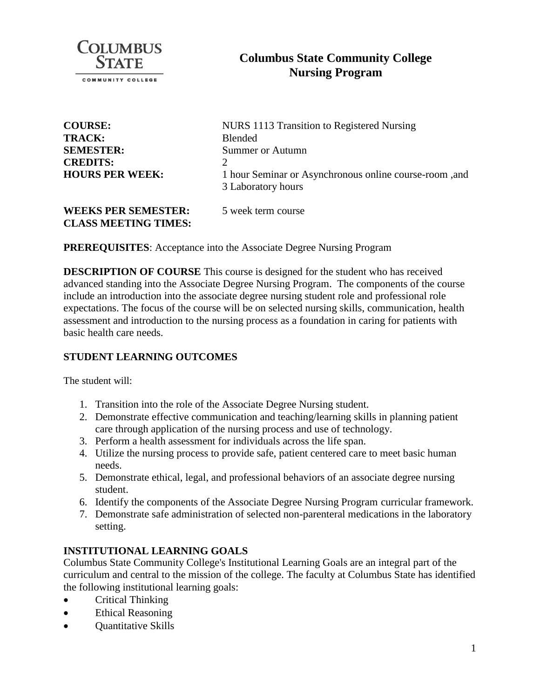

# **Columbus State Community College Nursing Program**

| <b>COURSE:</b>                                            | NURS 1113 Transition to Registered Nursing                                   |
|-----------------------------------------------------------|------------------------------------------------------------------------------|
| <b>TRACK:</b>                                             | <b>Blended</b>                                                               |
| <b>SEMESTER:</b>                                          | Summer or Autumn                                                             |
| <b>CREDITS:</b>                                           |                                                                              |
| <b>HOURS PER WEEK:</b>                                    | 1 hour Seminar or Asynchronous online course-room, and<br>3 Laboratory hours |
| <b>WEEKS PER SEMESTER:</b><br><b>CLASS MEETING TIMES:</b> | 5 week term course                                                           |

**PREREQUISITES**: Acceptance into the Associate Degree Nursing Program

**DESCRIPTION OF COURSE** This course is designed for the student who has received advanced standing into the Associate Degree Nursing Program. The components of the course include an introduction into the associate degree nursing student role and professional role expectations. The focus of the course will be on selected nursing skills, communication, health assessment and introduction to the nursing process as a foundation in caring for patients with basic health care needs.

# **STUDENT LEARNING OUTCOMES**

The student will:

- 1. Transition into the role of the Associate Degree Nursing student.
- 2. Demonstrate effective communication and teaching/learning skills in planning patient care through application of the nursing process and use of technology.
- 3. Perform a health assessment for individuals across the life span.
- 4. Utilize the nursing process to provide safe, patient centered care to meet basic human needs.
- 5. Demonstrate ethical, legal, and professional behaviors of an associate degree nursing student.
- 6. Identify the components of the Associate Degree Nursing Program curricular framework.
- 7. Demonstrate safe administration of selected non-parenteral medications in the laboratory setting.

# **INSTITUTIONAL LEARNING GOALS**

Columbus State Community College's Institutional Learning Goals are an integral part of the curriculum and central to the mission of the college. The faculty at Columbus State has identified the following institutional learning goals:

- Critical Thinking
- Ethical Reasoning
- **Quantitative Skills**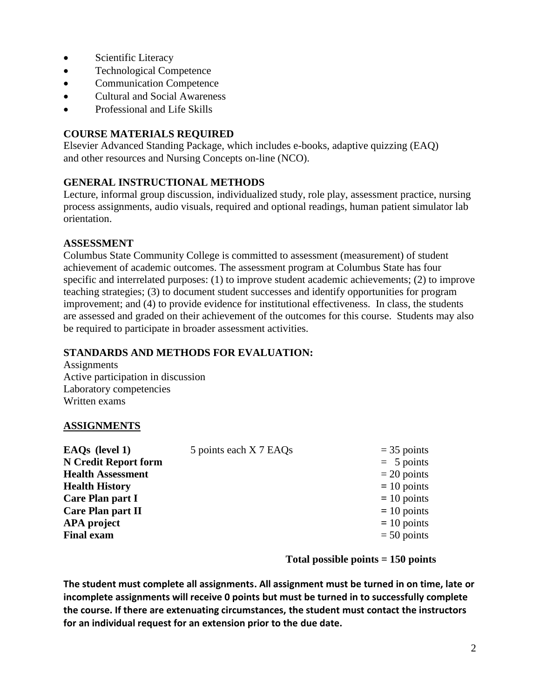- Scientific Literacy
- Technological Competence
- Communication Competence
- Cultural and Social Awareness
- Professional and Life Skills

# **COURSE MATERIALS REQUIRED**

Elsevier Advanced Standing Package, which includes e-books, adaptive quizzing (EAQ) and other resources and Nursing Concepts on-line (NCO).

# **GENERAL INSTRUCTIONAL METHODS**

Lecture, informal group discussion, individualized study, role play, assessment practice, nursing process assignments, audio visuals, required and optional readings, human patient simulator lab orientation.

#### **ASSESSMENT**

Columbus State Community College is committed to assessment (measurement) of student achievement of academic outcomes. The assessment program at Columbus State has four specific and interrelated purposes: (1) to improve student academic achievements; (2) to improve teaching strategies; (3) to document student successes and identify opportunities for program improvement; and (4) to provide evidence for institutional effectiveness. In class, the students are assessed and graded on their achievement of the outcomes for this course. Students may also be required to participate in broader assessment activities.

# **STANDARDS AND METHODS FOR EVALUATION:**

**Assignments** Active participation in discussion Laboratory competencies Written exams

# **ASSIGNMENTS**

| <b>EAQs</b> (level 1)       | 5 points each X 7 EAQs | $=$ 35 points |
|-----------------------------|------------------------|---------------|
| <b>N</b> Credit Report form |                        | $= 5$ points  |
| <b>Health Assessment</b>    |                        | $= 20$ points |
| <b>Health History</b>       |                        | $= 10$ points |
| Care Plan part I            |                        | $= 10$ points |
| Care Plan part II           |                        | $= 10$ points |
| <b>APA</b> project          |                        | $= 10$ points |
| <b>Final exam</b>           |                        | $= 50$ points |
|                             |                        |               |

**Total possible points = 150 points**

**The student must complete all assignments. All assignment must be turned in on time, late or incomplete assignments will receive 0 points but must be turned in to successfully complete the course. If there are extenuating circumstances, the student must contact the instructors for an individual request for an extension prior to the due date.**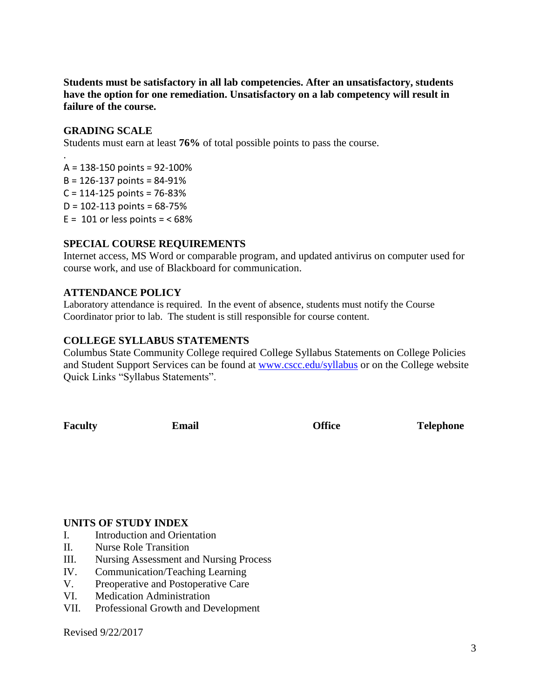**Students must be satisfactory in all lab competencies. After an unsatisfactory, students have the option for one remediation. Unsatisfactory on a lab competency will result in failure of the course.** 

#### **GRADING SCALE**

.

Students must earn at least **76%** of total possible points to pass the course.

A = 138-150 points = 92-100% B = 126-137 points = 84-91% C = 114-125 points = 76-83%  $D = 102 - 113$  points = 68-75%  $E = 101$  or less points = < 68%

#### **SPECIAL COURSE REQUIREMENTS**

Internet access, MS Word or comparable program, and updated antivirus on computer used for course work, and use of Blackboard for communication.

#### **ATTENDANCE POLICY**

Laboratory attendance is required. In the event of absence, students must notify the Course Coordinator prior to lab. The student is still responsible for course content.

#### **COLLEGE SYLLABUS STATEMENTS**

Columbus State Community College required College Syllabus Statements on College Policies and Student Support Services can be found at [www.cscc.edu/syllabus](http://www.cscc.edu/syllabus) or on the College website Quick Links "Syllabus Statements".

Faculty **Email Email Office Telephone** 

#### **UNITS OF STUDY INDEX**

- I. Introduction and Orientation
- II. Nurse Role Transition
- III. Nursing Assessment and Nursing Process
- IV. Communication/Teaching Learning
- V. Preoperative and Postoperative Care
- VI. Medication Administration
- VII. Professional Growth and Development

Revised 9/22/2017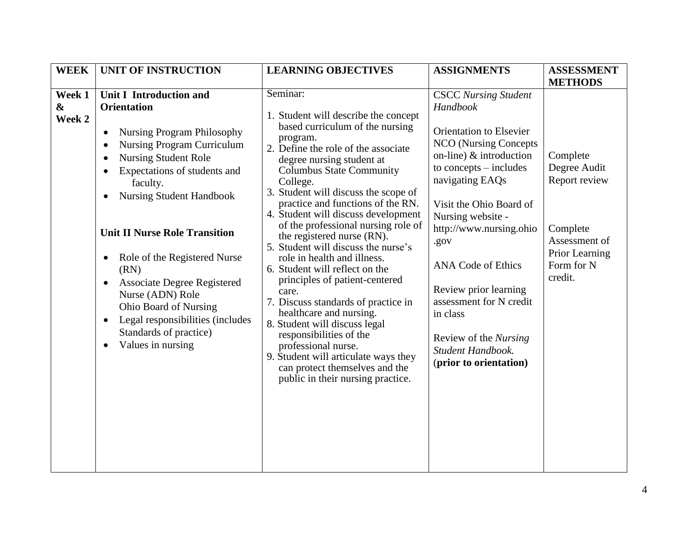| <b>WEEK</b>                           | UNIT OF INSTRUCTION                                                                                                                                                                                                                                                                                                                                                                                                                                                                                                                 | <b>LEARNING OBJECTIVES</b>                                                                                                                                                                                                                                                                                                                                                                                                                                                                                                                                                                                                                                                                                                                                                                                                         | <b>ASSIGNMENTS</b>                                                                                                                                                                                                                                                                                                                                                                                                                          | <b>ASSESSMENT</b>                                                                                                 |
|---------------------------------------|-------------------------------------------------------------------------------------------------------------------------------------------------------------------------------------------------------------------------------------------------------------------------------------------------------------------------------------------------------------------------------------------------------------------------------------------------------------------------------------------------------------------------------------|------------------------------------------------------------------------------------------------------------------------------------------------------------------------------------------------------------------------------------------------------------------------------------------------------------------------------------------------------------------------------------------------------------------------------------------------------------------------------------------------------------------------------------------------------------------------------------------------------------------------------------------------------------------------------------------------------------------------------------------------------------------------------------------------------------------------------------|---------------------------------------------------------------------------------------------------------------------------------------------------------------------------------------------------------------------------------------------------------------------------------------------------------------------------------------------------------------------------------------------------------------------------------------------|-------------------------------------------------------------------------------------------------------------------|
|                                       |                                                                                                                                                                                                                                                                                                                                                                                                                                                                                                                                     |                                                                                                                                                                                                                                                                                                                                                                                                                                                                                                                                                                                                                                                                                                                                                                                                                                    |                                                                                                                                                                                                                                                                                                                                                                                                                                             | <b>METHODS</b>                                                                                                    |
| Week 1<br>$\boldsymbol{\&}$<br>Week 2 | <b>Unit I</b> Introduction and<br><b>Orientation</b><br><b>Nursing Program Philosophy</b><br><b>Nursing Program Curriculum</b><br><b>Nursing Student Role</b><br>Expectations of students and<br>faculty.<br><b>Nursing Student Handbook</b><br><b>Unit II Nurse Role Transition</b><br>Role of the Registered Nurse<br>$\bullet$<br>(RN)<br><b>Associate Degree Registered</b><br>Nurse (ADN) Role<br><b>Ohio Board of Nursing</b><br>Legal responsibilities (includes<br>Standards of practice)<br>Values in nursing<br>$\bullet$ | Seminar:<br>1. Student will describe the concept<br>based curriculum of the nursing<br>program.<br>2. Define the role of the associate<br>degree nursing student at<br><b>Columbus State Community</b><br>College.<br>3. Student will discuss the scope of<br>practice and functions of the RN.<br>4. Student will discuss development<br>of the professional nursing role of<br>the registered nurse (RN).<br>5. Student will discuss the nurse's<br>role in health and illness.<br>6. Student will reflect on the<br>principles of patient-centered<br>care.<br>7. Discuss standards of practice in<br>healthcare and nursing.<br>8. Student will discuss legal<br>responsibilities of the<br>professional nurse.<br>9. Student will articulate ways they<br>can protect themselves and the<br>public in their nursing practice. | <b>CSCC</b> Nursing Student<br>Handbook<br>Orientation to Elsevier<br><b>NCO</b> (Nursing Concepts<br>on-line) & introduction<br>to concepts $-$ includes<br>navigating EAQs<br>Visit the Ohio Board of<br>Nursing website -<br>http://www.nursing.ohio<br>.gov<br><b>ANA Code of Ethics</b><br>Review prior learning<br>assessment for N credit<br>in class<br>Review of the <i>Nursing</i><br>Student Handbook.<br>(prior to orientation) | Complete<br>Degree Audit<br>Report review<br>Complete<br>Assessment of<br>Prior Learning<br>Form for N<br>credit. |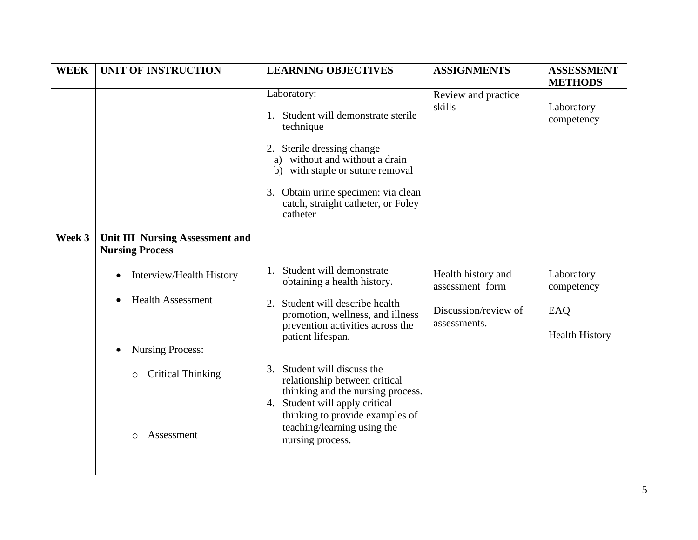| <b>WEEK</b> | UNIT OF INSTRUCTION                                       | <b>LEARNING OBJECTIVES</b>                                                                                                      | <b>ASSIGNMENTS</b>                    | <b>ASSESSMENT</b>            |
|-------------|-----------------------------------------------------------|---------------------------------------------------------------------------------------------------------------------------------|---------------------------------------|------------------------------|
|             |                                                           |                                                                                                                                 |                                       | <b>METHODS</b>               |
|             |                                                           | Laboratory:<br>1. Student will demonstrate sterile<br>technique                                                                 | Review and practice<br>skills         | Laboratory<br>competency     |
|             |                                                           | 2. Sterile dressing change<br>a) without and without a drain<br>b) with staple or suture removal                                |                                       |                              |
|             |                                                           | 3. Obtain urine specimen: via clean<br>catch, straight catheter, or Foley<br>catheter                                           |                                       |                              |
| Week 3      | Unit III Nursing Assessment and<br><b>Nursing Process</b> |                                                                                                                                 |                                       |                              |
|             | Interview/Health History<br>$\bullet$                     | Student will demonstrate<br>1.<br>obtaining a health history.                                                                   | Health history and<br>assessment form | Laboratory<br>competency     |
|             | <b>Health Assessment</b><br>$\bullet$                     | Student will describe health<br>2.<br>promotion, wellness, and illness<br>prevention activities across the<br>patient lifespan. | Discussion/review of<br>assessments.  | EAQ<br><b>Health History</b> |
|             | <b>Nursing Process:</b><br>٠                              |                                                                                                                                 |                                       |                              |
|             | <b>Critical Thinking</b><br>$\circ$                       | Student will discuss the<br>3.<br>relationship between critical<br>thinking and the nursing process.                            |                                       |                              |
|             | Assessment<br>$\circ$                                     | 4. Student will apply critical<br>thinking to provide examples of<br>teaching/learning using the<br>nursing process.            |                                       |                              |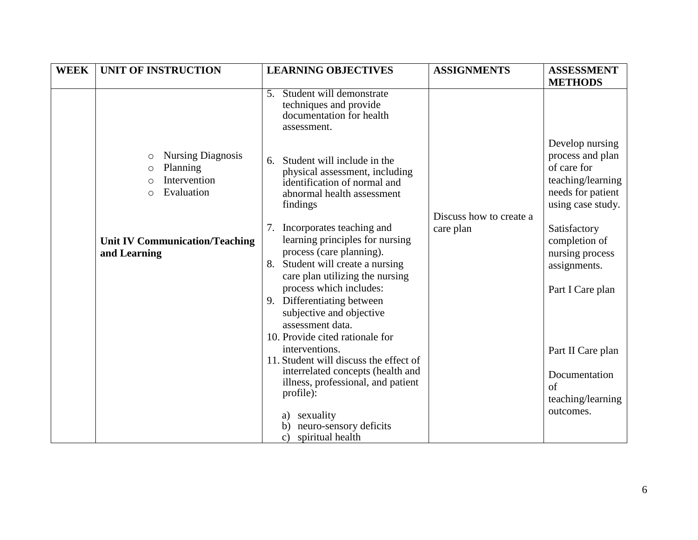| <b>WEEK</b> | <b>UNIT OF INSTRUCTION</b>                                                                            | <b>LEARNING OBJECTIVES</b>                                                                                                                                                                                                                                                                                                                                     | <b>ASSIGNMENTS</b>      | <b>ASSESSMENT</b>                                                                                                 |
|-------------|-------------------------------------------------------------------------------------------------------|----------------------------------------------------------------------------------------------------------------------------------------------------------------------------------------------------------------------------------------------------------------------------------------------------------------------------------------------------------------|-------------------------|-------------------------------------------------------------------------------------------------------------------|
|             |                                                                                                       |                                                                                                                                                                                                                                                                                                                                                                |                         | <b>METHODS</b>                                                                                                    |
|             |                                                                                                       | Student will demonstrate<br>5.<br>techniques and provide<br>documentation for health<br>assessment.                                                                                                                                                                                                                                                            |                         |                                                                                                                   |
|             | <b>Nursing Diagnosis</b><br>O<br>Planning<br>O<br>Intervention<br>$\bigcirc$<br>Evaluation<br>$\circ$ | Student will include in the<br>6.<br>physical assessment, including<br>identification of normal and<br>abnormal health assessment<br>findings                                                                                                                                                                                                                  | Discuss how to create a | Develop nursing<br>process and plan<br>of care for<br>teaching/learning<br>needs for patient<br>using case study. |
|             | <b>Unit IV Communication/Teaching</b><br>and Learning                                                 | 7. Incorporates teaching and<br>learning principles for nursing<br>process (care planning).<br>Student will create a nursing<br>8.<br>care plan utilizing the nursing<br>process which includes:                                                                                                                                                               | care plan               | Satisfactory<br>completion of<br>nursing process<br>assignments.<br>Part I Care plan                              |
|             |                                                                                                       | Differentiating between<br>9.<br>subjective and objective<br>assessment data.<br>10. Provide cited rationale for<br>interventions.<br>11. Student will discuss the effect of<br>interrelated concepts (health and<br>illness, professional, and patient<br>profile):<br>sexuality<br>a)<br>neuro-sensory deficits<br>b)<br>spiritual health<br>$\mathcal{C}$ ) |                         | Part II Care plan<br>Documentation<br>of<br>teaching/learning<br>outcomes.                                        |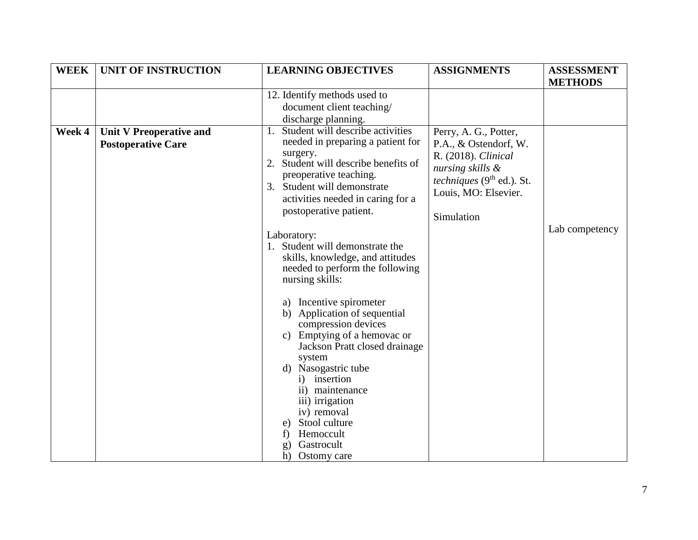| <b>WEEK</b> | <b>UNIT OF INSTRUCTION</b>                           | <b>LEARNING OBJECTIVES</b>                                                                                                                                                                                                                                                                                                                                                                                                                                                                                                                                                                                                                                                                         | <b>ASSIGNMENTS</b>                                                                                                                                                    | <b>ASSESSMENT</b> |
|-------------|------------------------------------------------------|----------------------------------------------------------------------------------------------------------------------------------------------------------------------------------------------------------------------------------------------------------------------------------------------------------------------------------------------------------------------------------------------------------------------------------------------------------------------------------------------------------------------------------------------------------------------------------------------------------------------------------------------------------------------------------------------------|-----------------------------------------------------------------------------------------------------------------------------------------------------------------------|-------------------|
|             |                                                      |                                                                                                                                                                                                                                                                                                                                                                                                                                                                                                                                                                                                                                                                                                    |                                                                                                                                                                       | <b>METHODS</b>    |
|             |                                                      | 12. Identify methods used to                                                                                                                                                                                                                                                                                                                                                                                                                                                                                                                                                                                                                                                                       |                                                                                                                                                                       |                   |
|             |                                                      | document client teaching/                                                                                                                                                                                                                                                                                                                                                                                                                                                                                                                                                                                                                                                                          |                                                                                                                                                                       |                   |
|             |                                                      | discharge planning.                                                                                                                                                                                                                                                                                                                                                                                                                                                                                                                                                                                                                                                                                |                                                                                                                                                                       |                   |
| Week 4      | Unit V Preoperative and<br><b>Postoperative Care</b> | Student will describe activities<br>1.<br>needed in preparing a patient for<br>surgery.<br>2. Student will describe benefits of<br>preoperative teaching.<br>3. Student will demonstrate<br>activities needed in caring for a<br>postoperative patient.<br>Laboratory:<br>1. Student will demonstrate the<br>skills, knowledge, and attitudes<br>needed to perform the following<br>nursing skills:<br>a) Incentive spirometer<br>b) Application of sequential<br>compression devices<br>c) Emptying of a hemovac or<br>Jackson Pratt closed drainage<br>system<br>d) Nasogastric tube<br>insertion<br>ii) maintenance<br>iii) irrigation<br>iv) removal<br>Stool culture<br>e)<br>Hemoccult<br>f) | Perry, A. G., Potter,<br>P.A., & Ostendorf, W.<br>R. (2018). Clinical<br>nursing skills &<br><i>techniques</i> $(9th$ ed.). St.<br>Louis, MO: Elsevier.<br>Simulation | Lab competency    |
|             |                                                      | Gastrocult<br>g)<br>h)<br>Ostomy care                                                                                                                                                                                                                                                                                                                                                                                                                                                                                                                                                                                                                                                              |                                                                                                                                                                       |                   |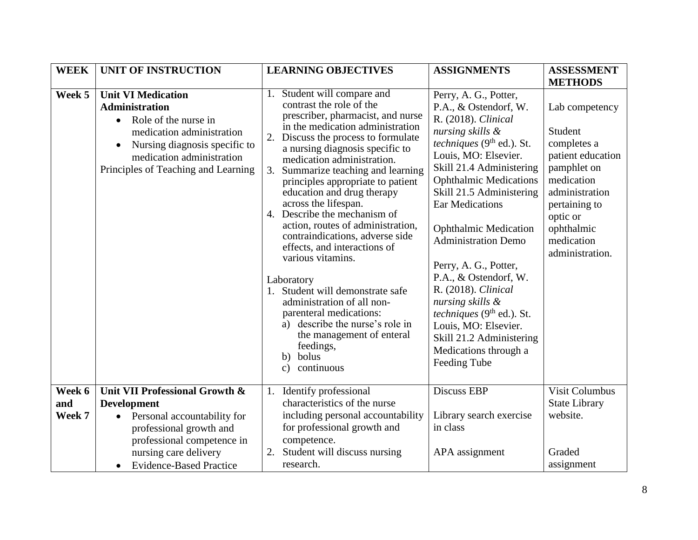| <b>WEEK</b> | UNIT OF INSTRUCTION                                                                                                                                                                                                                    | <b>LEARNING OBJECTIVES</b>                                                                                                                                                                                                                                                                                                                                                                                                                                                                                                                                                                                                                                                                                                                                                         | <b>ASSIGNMENTS</b>                                                                                                                                                                                                                                                                                                                                                                                                                                                                                                                                                       | <b>ASSESSMENT</b>                                                                                                                                                                        |
|-------------|----------------------------------------------------------------------------------------------------------------------------------------------------------------------------------------------------------------------------------------|------------------------------------------------------------------------------------------------------------------------------------------------------------------------------------------------------------------------------------------------------------------------------------------------------------------------------------------------------------------------------------------------------------------------------------------------------------------------------------------------------------------------------------------------------------------------------------------------------------------------------------------------------------------------------------------------------------------------------------------------------------------------------------|--------------------------------------------------------------------------------------------------------------------------------------------------------------------------------------------------------------------------------------------------------------------------------------------------------------------------------------------------------------------------------------------------------------------------------------------------------------------------------------------------------------------------------------------------------------------------|------------------------------------------------------------------------------------------------------------------------------------------------------------------------------------------|
|             |                                                                                                                                                                                                                                        |                                                                                                                                                                                                                                                                                                                                                                                                                                                                                                                                                                                                                                                                                                                                                                                    |                                                                                                                                                                                                                                                                                                                                                                                                                                                                                                                                                                          | <b>METHODS</b>                                                                                                                                                                           |
| Week 5      | <b>Unit VI Medication</b><br><b>Administration</b><br>Role of the nurse in<br>$\bullet$<br>medication administration<br>Nursing diagnosis specific to<br>$\bullet$<br>medication administration<br>Principles of Teaching and Learning | Student will compare and<br>1.<br>contrast the role of the<br>prescriber, pharmacist, and nurse<br>in the medication administration<br>2. Discuss the process to formulate<br>a nursing diagnosis specific to<br>medication administration.<br>3.<br>Summarize teaching and learning<br>principles appropriate to patient<br>education and drug therapy<br>across the lifespan.<br>4. Describe the mechanism of<br>action, routes of administration,<br>contraindications, adverse side<br>effects, and interactions of<br>various vitamins.<br>Laboratory<br>1. Student will demonstrate safe<br>administration of all non-<br>parenteral medications:<br>a) describe the nurse's role in<br>the management of enteral<br>feedings,<br>bolus<br>b)<br>continuous<br>$\mathbf{c})$ | Perry, A. G., Potter,<br>P.A., & Ostendorf, W.<br>R. (2018). Clinical<br>nursing skills &<br><i>techniques</i> $(9th$ ed.). St.<br>Louis, MO: Elsevier.<br>Skill 21.4 Administering<br><b>Ophthalmic Medications</b><br>Skill 21.5 Administering<br><b>Ear Medications</b><br><b>Ophthalmic Medication</b><br><b>Administration Demo</b><br>Perry, A. G., Potter,<br>P.A., & Ostendorf, W.<br>R. (2018). Clinical<br>nursing skills &<br><i>techniques</i> $(9th$ ed.). St.<br>Louis, MO: Elsevier.<br>Skill 21.2 Administering<br>Medications through a<br>Feeding Tube | Lab competency<br>Student<br>completes a<br>patient education<br>pamphlet on<br>medication<br>administration<br>pertaining to<br>optic or<br>ophthalmic<br>medication<br>administration. |
| Week 6      | Unit VII Professional Growth &                                                                                                                                                                                                         | Identify professional<br>1.                                                                                                                                                                                                                                                                                                                                                                                                                                                                                                                                                                                                                                                                                                                                                        | <b>Discuss EBP</b>                                                                                                                                                                                                                                                                                                                                                                                                                                                                                                                                                       | Visit Columbus                                                                                                                                                                           |
| and         | <b>Development</b>                                                                                                                                                                                                                     | characteristics of the nurse                                                                                                                                                                                                                                                                                                                                                                                                                                                                                                                                                                                                                                                                                                                                                       |                                                                                                                                                                                                                                                                                                                                                                                                                                                                                                                                                                          | <b>State Library</b>                                                                                                                                                                     |
| Week 7      | Personal accountability for<br>$\bullet$                                                                                                                                                                                               | including personal accountability                                                                                                                                                                                                                                                                                                                                                                                                                                                                                                                                                                                                                                                                                                                                                  | Library search exercise<br>in class                                                                                                                                                                                                                                                                                                                                                                                                                                                                                                                                      | website.                                                                                                                                                                                 |
|             | professional growth and<br>professional competence in                                                                                                                                                                                  | for professional growth and<br>competence.                                                                                                                                                                                                                                                                                                                                                                                                                                                                                                                                                                                                                                                                                                                                         |                                                                                                                                                                                                                                                                                                                                                                                                                                                                                                                                                                          |                                                                                                                                                                                          |
|             | nursing care delivery                                                                                                                                                                                                                  | Student will discuss nursing<br>2.                                                                                                                                                                                                                                                                                                                                                                                                                                                                                                                                                                                                                                                                                                                                                 | APA assignment                                                                                                                                                                                                                                                                                                                                                                                                                                                                                                                                                           | Graded                                                                                                                                                                                   |
|             | <b>Evidence-Based Practice</b>                                                                                                                                                                                                         | research.                                                                                                                                                                                                                                                                                                                                                                                                                                                                                                                                                                                                                                                                                                                                                                          |                                                                                                                                                                                                                                                                                                                                                                                                                                                                                                                                                                          | assignment                                                                                                                                                                               |